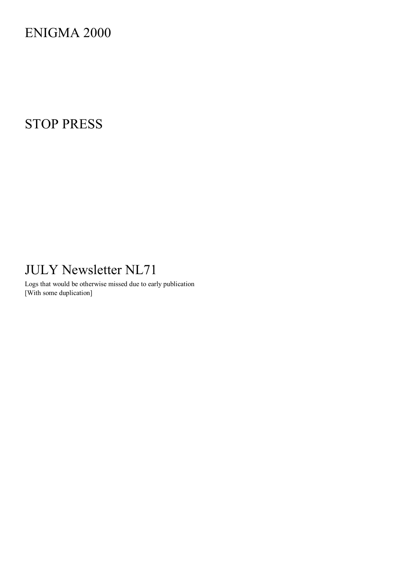ENIGMA 2000

# STOP PRESS

# JULY Newsletter NL71

Logs that would be otherwise missed due to early publication [With some duplication]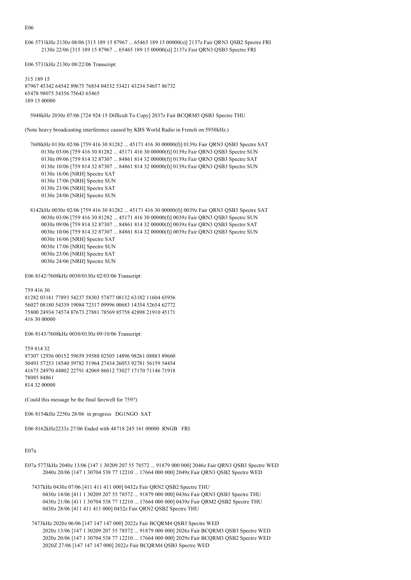E06

E06 5731kHz 2130z 08/06 [315 189 15 87967 ... 65465 189 15 00000(s)] 2137z Fair QRN3 QSB2 Spectre FRI 2130z 22/06 [315 189 15 87967 ... 65465 189 15 00000(s)] 2137z Fair QRN3 QSB3 Spectre FRI

```
E06 5731kHz 2130z 08/22/06 Transcript:
```
315 189 15 87967 45342 64542 89675 76854 04532 53421 43234 54657 86732 65478 98075 54356 75643 65465 189 15 00000

5948kHz 2030z 07/06 [724 924 15 Difficult To Copy] 2037z Fair BCQRM5 QSB3 Spectre THU

(Note heavy broadcasting interference caused by KBS World Radio in French on 5950kHz.)

 7608kHz 0130z 02/06 [759 416 30 81282 ... 45171 416 30 00000(f)] 0139z Fair QRN3 QSB3 Spectre SAT 0130z 03/06 [759 416 30 81282 ... 45171 416 30 00000(f)] 0139z Fair QRN3 QSB3 Spectre SUN 0130z 09/06 [759 814 32 87307 ... 84861 814 32 00000(f)] 0139z Fair QRN3 QSB3 Spectre SAT 0130z 10/06 [759 814 32 87307 ... 84861 814 32 00000(f)] 0139z Fair QRN3 QSB3 Spectre SUN 0130z 16/06 [NRH] Spectre SAT 0130z 17/06 [NRH] Spectre SUN 0130z 23/06 [NRH] Spectre SAT 0130z 24/06 [NRH] Spectre SUN

 8142kHz 0030z 02/06 [759 416 30 81282 ... 45171 416 30 00000(f)] 0039z Fair QRN3 QSB3 Spectre SAT 0030z 03/06 [759 416 30 81282 ... 45171 416 30 00000(f)] 0039z Fair QRN3 QSB3 Spectre SUN 0030z 09/06 [759 814 32 87307 ... 84861 814 32 00000(f)] 0039z Fair QRN3 QSB3 Spectre SAT 0030z 10/06 [759 814 32 87307 ... 84861 814 32 00000(f)] 0039z Fair QRN3 QSB3 Spectre SUN 0030z 16/06 [NRH] Spectre SAT 0030z 17/06 [NRH] Spectre SUN 0030z 23/06 [NRH] Spectre SAT 0030z 24/06 [NRH] Spectre SUN

E06 8142/7608kHz 0030/0130z 02/03/06 Transcript:

759 416 30 81282 03181 77893 54237 58303 57477 08132 63182 11604 65956 56027 08180 54339 19084 72317 09996 00683 14354 52654 62772 75800 24934 74574 87673 27881 78569 85758 42898 21910 45171 416 30 00000

E06 8143/7608kHz 0030/0130z 09/10/06 Transcript:

759 814 32 87307 12936 00152 59659 39588 02505 14896 98261 08883 89660 50493 57253 18540 59782 51964 27434 26053 92781 56159 54454 41675 24970 44802 22791 42069 86012 73027 17170 71146 71918 78085 84861 814 32 00000

(Could this message be the final farewell for 759?)

E06 8154kHz 2250z 28/06 in progress DG1NGO SAT

E06 8162kHz2233z 27/06 Ended with 48718 245 161 00000 RNGB FRI

### E07a

- E07a 5773kHz 2040z 13/06 [147 1 30209 207 55 78572 ... 91879 000 000] 2046z Fair QRN3 QSB3 Spectre WED 2040z 20/06 [147 1 30704 538 77 12210 ... 17664 000 000] 2049z Fair QRN3 QSB2 Spectre WED
	- 7437kHz 0430z 07/06 [411 411 411 000] 0432z Fair QRN2 QSB2 Spectre THU 0430z 14/06 [411 1 30209 207 55 78572 ... 91879 000 000] 0436z Fair QRN3 QSB3 Spectre THU 0430z 21/06 [411 1 30704 538 77 12210 ... 17664 000 000] 0439z Fair QRM2 QSB2 Spectre THU 0430z 28/06 [411 411 411 000] 0432z Fair QRN2 QSB2 Spectre THU
	- 7473kHz 2020z 06/06 [147 147 147 000] 2022z Fair BCQRM4 QSB3 Spectre WED 2020z 13/06 [147 1 30209 207 55 78572 ... 91879 000 000] 2026z Fair BCQRM3 QSB3 Spectre WED 2020z 20/06 [147 1 30704 538 77 12210 ... 17664 000 000] 2029z Fair BCQRM3 QSB2 Spectre WED 2020Z 27/06 [147 147 147 000] 2022z Fair BCQRM4 QSB3 Spectre WED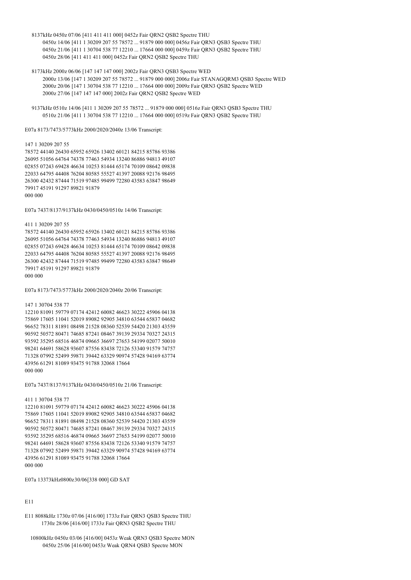- 8137kHz 0450z 07/06 [411 411 411 000] 0452z Fair QRN2 QSB2 Spectre THU 0450z 14/06 [411 1 30209 207 55 78572 ... 91879 000 000] 0456z Fair QRN3 QSB3 Spectre THU 0450z 21/06 [411 1 30704 538 77 12210 ... 17664 000 000] 0459z Fair QRN3 QSB2 Spectre THU 0450z 28/06 [411 411 411 000] 0452z Fair QRN2 QSB2 Spectre THU
- 8173kHz 2000z 06/06 [147 147 147 000] 2002z Fair QRN3 QSB3 Spectre WED 2000z 13/06 [147 1 30209 207 55 78572 ... 91879 000 000] 2006z Fair STANAGQRM3 QSB3 Spectre WED 2000z 20/06 [147 1 30704 538 77 12210 ... 17664 000 000] 2009z Fair QRN3 QSB2 Spectre WED
	- 2000z 27/06 [147 147 147 000] 2002z Fair QRN2 QSB2 Spectre WED
- 9137kHz 0510z 14/06 [411 1 30209 207 55 78572 ... 91879 000 000] 0516z Fair QRN3 QSB3 Spectre THU 0510z 21/06 [411 1 30704 538 77 12210 ... 17664 000 000] 0519z Fair QRN3 QSB2 Spectre THU

E07a 8173/7473/5773kHz 2000/2020/2040z 13/06 Transcript:

#### 147 1 30209 207 55

78572 44140 26430 65952 65926 13402 60121 84215 85786 93386 26095 51056 64764 74378 77463 54934 13240 86886 94813 49107 02855 07243 69428 46634 10253 81444 65174 70109 08642 09838 22033 64795 44408 76204 80585 55527 41397 20088 92176 98495 26300 42432 87444 71519 97485 99499 72280 43583 63847 98649 79917 45191 91297 89821 91879 000 000

E07a 7437/8137/9137kHz 0430/0450/0510z 14/06 Transcript:

411 1 30209 207 55

78572 44140 26430 65952 65926 13402 60121 84215 85786 93386 26095 51056 64764 74378 77463 54934 13240 86886 94813 49107 02855 07243 69428 46634 10253 81444 65174 70109 08642 09838 22033 64795 44408 76204 80585 55527 41397 20088 92176 98495 26300 42432 87444 71519 97485 99499 72280 43583 63847 98649 79917 45191 91297 89821 91879 000 000

E07a 8173/7473/5773kHz 2000/2020/2040z 20/06 Transcript:

147 1 30704 538 77

12210 81091 59779 07174 42412 60082 46623 30222 45906 04138 75869 17605 11041 52019 89082 92905 34810 63544 65837 04682 96652 78311 81891 08498 21528 08360 52539 54420 21303 43559 90592 50572 80471 74685 87241 08467 39139 29334 70327 24315 93592 35295 68516 46874 09665 36697 27653 54199 02077 50010 98241 64691 58628 93607 87556 83438 72126 53340 91579 74757 71328 07992 52499 59871 39442 63329 90974 57428 94169 63774 43956 61291 81089 93475 91788 32068 17664 000 000

E07a 7437/8137/9137kHz 0430/0450/0510z 21/06 Transcript:

#### 411 1 30704 538 77

12210 81091 59779 07174 42412 60082 46623 30222 45906 04138 75869 17605 11041 52019 89082 92905 34810 63544 65837 04682 96652 78311 81891 08498 21528 08360 52539 54420 21303 43559 90592 50572 80471 74685 87241 08467 39139 29334 70327 24315 93592 35295 68516 46874 09665 36697 27653 54199 02077 50010 98241 64691 58628 93607 87556 83438 72126 53340 91579 74757 71328 07992 52499 59871 39442 63329 90974 57428 94169 63774 43956 61291 81089 93475 91788 32068 17664 000 000

E07a 13373kHz0800z 30/06[338 000] GD SAT

# E11

E11 8088kHz 1730z 07/06 [416/00] 1733z Fair QRN3 QSB3 Spectre THU 1730z 28/06 [416/00] 1733z Fair QRN3 QSB2 Spectre THU

 10800kHz 0450z 03/06 [416/00] 0453z Weak QRN3 QSB3 Spectre MON 0450z 25/06 [416/00] 0453z Weak QRN4 QSB3 Spectre MON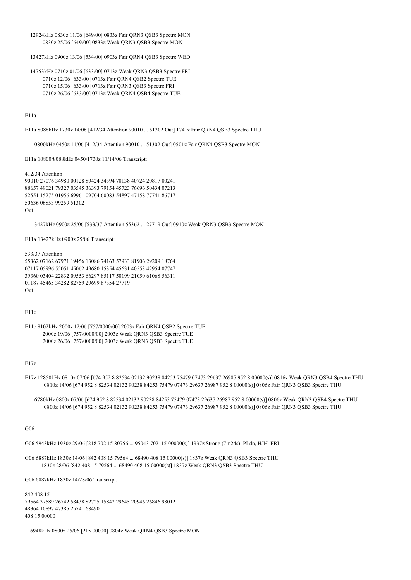12924kHz 0830z 11/06 [649/00] 0833z Fair QRN3 QSB3 Spectre MON 0830z 25/06 [649/00] 0833z Weak QRN3 QSB3 Spectre MON

13427kHz 0900z 13/06 [534/00] 0903z Fair QRN4 QSB3 Spectre WED

 14753kHz 0710z 01/06 [633/00] 0713z Weak QRN3 QSB3 Spectre FRI 0710z 12/06 [633/00] 0713z Fair QRN4 QSB2 Spectre TUE 0710z 15/06 [633/00] 0713z Fair QRN3 QSB3 Spectre FRI 0710z 26/06 [633/00] 0713z Weak QRN4 QSB4 Spectre TUE

E11a

E11a 8088kHz 1730z 14/06 [412/34 Attention 90010 ... 51302 Out] 1741z Fair QRN4 QSB3 Spectre THU

10800kHz 0450z 11/06 [412/34 Attention 90010 ... 51302 Out] 0501z Fair QRN4 QSB3 Spectre MON

E11a 10800/8088kHz 0450/1730z 11/14/06 Transcript:

412/34 Attention 90010 27076 34980 00128 89424 34394 70138 40724 20817 00241 88657 49021 79327 03545 36393 79154 45723 76696 50434 07213 52551 15275 01956 69961 09704 60083 54897 47158 77741 86717 50636 06853 99259 51302 Out

13427kHz 0900z 25/06 [533/37 Attention 55362 ... 27719 Out] 0910z Weak QRN3 QSB3 Spectre MON

E11a 13427kHz 0900z 25/06 Transcript:

533/37 Attention 55362 07162 67971 19456 13086 74163 57933 81906 29209 18764 07117 05996 55051 45062 49680 15354 45631 40553 42954 07747 39360 03404 22832 09553 66297 85117 50199 21050 61068 56311 01187 45465 34282 82759 29699 87354 27719 Out

E11c

E11c 8102kHz 2000z 12/06 [757/0000/00] 2003z Fair QRN4 QSB2 Spectre TUE 2000z 19/06 [757/0000/00] 2003z Weak QRN3 QSB3 Spectre TUE 2000z 26/06 [757/0000/00] 2003z Weak QRN3 QSB3 Spectre TUE

E17z

E17z 12850kHz 0810z 07/06 [674 952 8 82534 02132 90238 84253 75479 07473 29637 26987 952 8 00000(s)] 0816z Weak QRN3 QSB4 Spectre THU 0810z 14/06 [674 952 8 82534 02132 90238 84253 75479 07473 29637 26987 952 8 00000(s)] 0806z Fair QRN3 QSB3 Spectre THU

 16780kHz 0800z 07/06 [674 952 8 82534 02132 90238 84253 75479 07473 29637 26987 952 8 00000(s)] 0806z Weak QRN3 QSB4 Spectre THU 0800z 14/06 [674 952 8 82534 02132 90238 84253 75479 07473 29637 26987 952 8 00000(s)] 0806z Fair QRN3 QSB3 Spectre THU

G06

G06 5943kHz 1930z 29/06 [218 702 15 80756 ... 95043 702 15 00000(s)] 1937z Strong (7m24s) PLdn, HJH FRI

G06 6887kHz 1830z 14/06 [842 408 15 79564 ... 68490 408 15 00000(s)] 1837z Weak QRN3 QSB3 Spectre THU 1830z 28/06 [842 408 15 79564 ... 68490 408 15 00000(s)] 1837z Weak QRN3 QSB3 Spectre THU

G06 6887kHz 1830z 14/28/06 Transcript:

842 408 15 79564 37589 26742 58438 82725 15842 29645 20946 26846 98012 48364 10897 47385 25741 68490 408 15 00000

6948kHz 0800z 25/06 [215 00000] 0804z Weak QRN4 QSB3 Spectre MON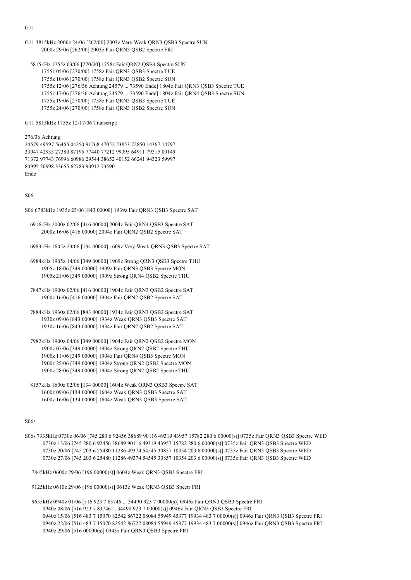G11 3815kHz 2000z 24/06 [262/00] 2003z Very Weak QRN3 QSB3 Spectre SUN 2000z 29/06 [262/00] 2003z Fair QRN3 QSB2 Spectre FRI

 5815kHz 1755z 03/06 [270/00] 1758z Fair QRN2 QSB4 Spectre SUN 1755z 05/06 [270/00] 1758z Fair QRN3 QSB3 Spectre TUE 1755z 10/06 [270/00] 1758z Fair QRN3 QSB2 Spectre SUN 1755z 12/06 [276/36 Achtung 24579 ... 73590 Ende] 1804z Fair QRN3 QSB3 Spectre TUE 1755z 17/06 [276/36 Achtung 24579 ... 73590 Ende] 1804z Fair QRN4 QSB3 Spectre SUN 1755z 19/06 [270/00] 1758z Fair QRN3 QSB3 Spectre TUE 1755z 24/06 [270/00] 1758z Fair QRN3 QSB2 Spectre SUN

G11 5815kHz 1755z 12/17/06 Transcript:

#### 276/36 Achtung

24579 49597 56465 04250 91768 47052 23853 72850 14367 14797 33947 42933 27380 87195 77440 77212 99395 64911 79315 00149 71372 97743 76996 60986 29544 38652 40152 66241 94323 59997 80995 20998 33655 62783 90912 73590 Ende

S06

S06 6783kHz 1935z 23/06 [843 00000] 1939z Fair QRN3 QSB3 Spectre SAT

 6916kHz 2000z 02/06 [416 00000] 2004z Fair QRN4 QSB3 Spectre SAT 2000z 16/06 [416 00000] 2004z Fair QRN2 QSB2 Spectre SAT

6983kHz 1605z 23/06 [134 00000] 1609z Very Weak QRN3 QSB3 Spectre SAT

- 6984kHz 1905z 14/06 [349 00000] 1909z Strong QRN3 QSB3 Spectre THU 1905z 18/06 [349 00000] 1909z Fair QRN3 QSB3 Spectre MON 1905z 21/06 [349 00000] 1909z Strong QRN4 QSB2 Spectre THU
- 7847kHz 1900z 02/06 [416 00000] 1904z Fair QRN3 QSB2 Spectre SAT 1900z 16/06 [416 00000] 1904z Fair QRN2 QSB2 Spectre SAT
- 7884kHz 1930z 02/06 [843 00000] 1934z Fair QRN3 QSB2 Spectre SAT 1930z 09/06 [843 00000] 1934z Weak QRN3 QSB3 Spectre SAT 1930z 16/06 [843 00000] 1934z Fair QRN2 QSB2 Spectre SAT
- 7982kHz 1900z 04/06 [349 00000] 1904z Fair QRN2 QSB2 Spectre MON 1900z 07/06 [349 00000] 1904z Strong QRN2 QSB2 Spectre THU 1900z 11/06 [349 00000] 1904z Fair QRN4 QSB3 Spectre MON 1900z 25/06 [349 00000] 1904z Strong QRN2 QSB2 Spectre MON 1900z 28/06 [349 00000] 1904z Strong QRN2 QSB2 Spectre THU
- 8157kHz 1600z 02/06 [134 00000] 1604z Weak QRN3 QSB3 Spectre SAT 1600z 09/06 [134 00000] 1604z Weak QRN3 QSB3 Spectre SAT 1600z 16/06 [134 00000] 1604z Weak QRN3 QSB3 Spectre SAT

## S06s

S06s 7335kHz 0730z 06/06 [745 280 6 92456 38689 90116 49319 43957 15782 280 6 00000(s)] 0735z Fair QRN3 QSB3 Spectre WED 0730z 13/06 [745 280 6 92456 38689 90116 49319 43957 15782 280 6 00000(s)] 0735z Fair QRN3 QSB3 Spectre WED 0730z 20/06 [745 203 6 25480 11286 49374 54545 30857 10354 203 6 00000(s)] 0735z Fair QRN3 QSB3 Spectre WED 0730z 27/06 [745 203 6 25480 11286 49374 54545 30857 10354 203 6 00000(s)] 0735z Fair QRN3 QSB3 Spectre WED

7845kHz 0600z 29/06 [196 00000(s)] 0604z Weak QRN3 QSB3 Spectre FRI

9125kHz 0610z 29/06 [196 00000(s)] 0613z Weak QRN3 QSB3 Spectr FRI

 9655kHz 0940z 01/06 [516 923 7 83746 ... 34490 923 7 00000(s)] 0946z Fair QRN3 QSB3 Spectre FRI 0940z 08/06 [516 923 7 83746 ... 34490 923 7 00000(s)] 0946z Fair QRN3 QSB3 Spectre FRI 0940z 15/06 [516 483 7 15070 82542 86722 08084 55949 45377 19934 483 7 00000(s)] 0946z Fair QRN3 QSB3 Spectre FRI 0940z 22/06 [516 483 7 15070 82542 86722 08084 55949 45377 19934 483 7 00000(s)] 0946z Fair QRN3 QSB3 Spectre FRI 0940z 29/06 [516 00000(s)] 0943z Fair QRN3 QSB3 Spectre FRI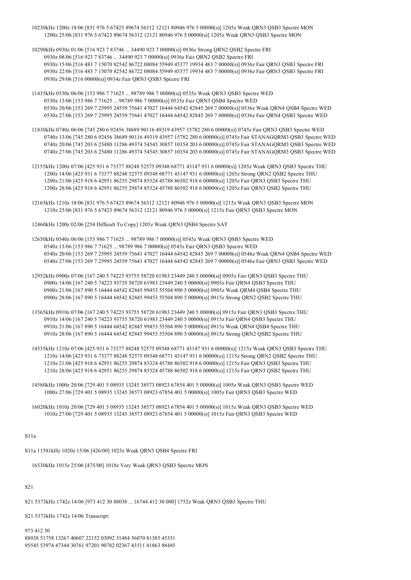- 10230kHz 1200z 18/06 [831 976 5 67423 89674 56312 12121 80946 976 5 00000(s)] 1205z Weak QRN3 QSB3 Spectre MON 1200z 25/06 [831 976 5 67423 89674 56312 12121 80946 976 5 00000(s)] 1205z Weak QRN3 QSB3 Spectre MON
- 10290kHz 0930z 01/06 [516 923 7 83746 ... 34490 923 7 00000(s)] 0936z Strong QRN2 QSB2 Spectre FRI 0930z 08/06 [516 923 7 83746 ... 34490 923 7 00000(s)] 0936z Fair QRN2 QSB2 Spectre FRI 0930z 15/06 [516 483 7 15070 82542 86722 08084 55949 45377 19934 483 7 00000(s)] 0936z Fair QRN3 QSB3 Spectre FRI 0930z 22/06 [516 483 7 15070 82542 86722 08084 55949 45377 19934 483 7 00000(s)] 0936z Fair QRN3 QSB3 Spectre FRI 0930z 29/06 [516 00000(s)] 0934z Fair QRN3 QSB3 Spectre FRI
- 11435kHz 0530z 06/06 [153 986 7 71625 ... 98789 986 7 00000(s)] 0535z Weak QRN3 QSB3 Spectre WED 0530z 13/06 [153 986 7 71625 ... 98789 986 7 00000(s)] 0535z Fair QRN3 QSB4 Spectre WED 0530z 20/06 [153 269 7 25995 24559 75641 47027 16444 64542 82845 269 7 00000(s)] 0536z Weak QRN4 QSB4 Spectre WED 0530z 27/06 [153 269 7 25995 24559 75641 47027 16444 64542 82845 269 7 00000(s)] 0536z Fair QRN4 QSB3 Spectre WED
- 11830kHz 0740z 06/06 [745 280 6 92456 38689 90116 49319 43957 15782 280 6 00000(s)] 0745z Fair QRN3 QSB3 Spectre WED 0740z 13/06 [745 280 6 92456 38689 90116 49319 43957 15782 280 6 00000(s)] 0745z Fair STANAGQRM3 QSB3 Spectre WED 0740z 20/06 [745 203 6 25480 11286 49374 54545 30857 10354 203 6 00000(s)] 0745z Fair STANAGQRM3 QSB3 Spectre WED 0740z 27/06 [745 203 6 25480 11286 49374 54545 30857 10354 203 6 00000(s)] 0745z Fair STANAGQRM3 QSB3 Spectre WED
- 12155kHz 1200z 07/06 [425 931 6 73377 88248 52575 09348 68771 43147 931 6 00000(s)] 1205z Weak QRN3 QSB3 Spectre THU 1200z 14/06 [425 931 6 73377 88248 52575 09348 68771 43147 931 6 00000(s)] 1205z Strong QRN2 QSB2 Spectre THU 1200z 21/06 [425 918 6 42951 86255 29874 85324 45788 86502 918 6 00000(s)] 1205z Fair QRN3 QSB3 Spectre THU 1200z 28/06 [425 918 6 42951 86255 29874 85324 45788 86502 918 6 00000(s)] 1205z Fair QRN3 QSB2 Spectre THU
- 12165kHz 1210z 18/06 [831 976 5 67423 89674 56312 12121 80946 976 5 00000(s)] 1215z Weak QRN3 QSB3 Spectre MON 1210z 25/06 [831 976 5 67423 89674 56312 12121 80946 976 5 00000(s)] 1215z Fair QRN3 QSB3 Spectre MON

12460kHz 1200z 02/06 [254 Difficult To Copy] 1205z Weak QRN3 QSB4 Spectre SAT

- 12650kHz 0540z 06/06 [153 986 7 71625 ... 98789 986 7 00000(s)] 0545z Weak QRN3 QSB3 Spectre WED 0540z 13/06 [153 986 7 71625 ... 98789 986 7 00000(s)] 0545z Fair QRN3 QSB3 Spectre WED 0540z 20/06 [153 269 7 25995 24559 75641 47027 16444 64542 82845 269 7 00000(s)] 0546z Weak QRN4 QSB4 Spectre WED 0540z 27/06 [153 269 7 25995 24559 75641 47027 16444 64542 82845 269 7 00000(s)] 0546z Fair QRN3 QSB3 Spectre WED
- 12952kHz 0900z 07/06 [167 240 5 74223 93755 58720 61983 23449 240 5 00000(s)] 0905z Fair QRN3 QSB3 Spectre THU 0900z 14/06 [167 240 5 74223 93755 58720 61983 23449 240 5 00000(s)] 0905z Fair QRN4 QSB3 Spectre THU 0900z 21/06 [167 890 5 16444 64542 82845 99453 55504 890 5 00000(s)] 0905z Weak QRM4 QSB4 Spectre THU 0900z 28/06 [167 890 5 16444 64542 82845 99453 55504 890 5 00000(s)] 0915z Strong QRN2 QSB2 Spectre THU
- 13565kHz 0910z 07/06 [167 240 5 74223 93755 58720 61983 23449 240 5 00000(s)] 0915z Fair QRN3 QSB3 Spectre THU 0910z 14/06 [167 240 5 74223 93755 58720 61983 23449 240 5 00000(s)] 0915z Fair QRN4 QSB3 Spectre THU 0910z 21/06 [167 890 5 16444 64542 82845 99453 55504 890 5 00000(s)] 0915z Weak QRN4 QSB4 Spectre THU 0910z 28/06 [167 890 5 16444 64542 82845 99453 55504 890 5 00000(s)] 0915z Strong QRN2 QSB2 Spectre THU
- 14535kHz 1210z 07/06 [425 931 6 73377 88248 52575 09348 68771 43147 931 6 00000(s)] 1215z Weak QRN3 QSB3 Spectre THU 1210z 14/06 [425 931 6 73377 88248 52575 09348 68771 43147 931 6 00000(s)] 1215z Strong QRN2 QSB2 Spectre THU 1210z 21/06 [425 918 6 42951 86255 29874 85324 45788 86502 918 6 00000(s)] 1215z Fair QRN3 QSB3 Spectre THU 1210z 28/06 [425 918 6 42951 86255 29874 85324 45788 86502 918 6 00000(s)] 1215z Fair QRN3 QSB2 Spectre THU
- 14580kHz 1000z 20/06 [729 401 5 08935 13245 38573 08923 67854 401 5 00000(s)] 1005z Weak QRN3 QSB3 Spectre WED 1000z 27/06 [729 401 5 08935 13245 38573 08923 67854 401 5 00000(s)] 1005z Fair QRN3 QSB3 Spectre WED
- 16020kHz 1010z 20/06 [729 401 5 08935 13245 38573 08923 67854 401 5 00000(s)] 1015z Weak QRN3 QSB3 Spectre WED 1010z 27/06 [729 401 5 08935 13245 38573 08923 67854 401 5 00000(s)] 1015z Fair QRN3 QSB3 Spectre WED

S11a

S11a 11581kHz 1020z 15/06 [426/00] 1023z Weak QRN3 QSB4 Spectre FRI

16530kHz 1015z 25/06 [475/00] 1018z Very Weak QRN3 QSB3 Spectre MON

## S21

S21 5373kHz 1742z 14/06 [973 412 30 88038 ... 16744 412 30 000] 1752z Weak QRN3 QSB3 Spectre THU

S21 5373kHz 1742z 14/06 Transcript:

973 412 30 88038 51758 13267 40607 22152 03092 31484 56070 81385 45351 95545 53974 47344 30761 97201 90782 02367 43511 41863 88485